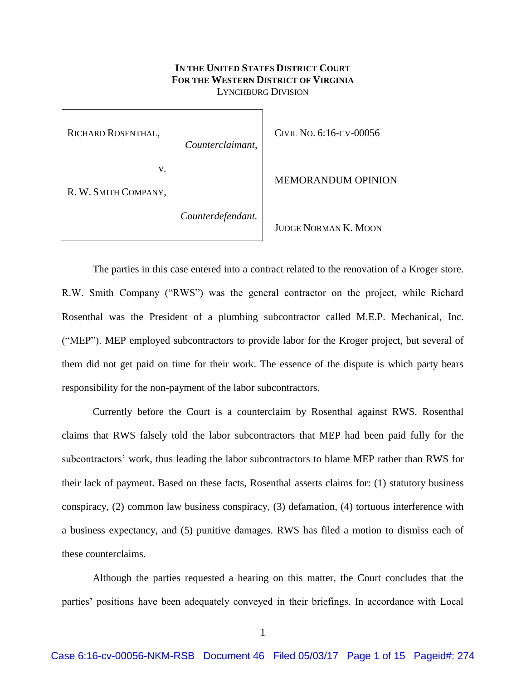# **IN THE UNITED STATES DISTRICT COURT FOR THE WESTERN DISTRICT OF VIRGINIA** LYNCHBURG DIVISION

RICHARD ROSENTHAL,

*Counterclaimant,*

CIVIL NO. 6:16-CV-00056

v.

R. W. SMITH COMPANY,

*Counterdefendant.*

JUDGE NORMAN K. MOON

MEMORANDUM OPINION

The parties in this case entered into a contract related to the renovation of a Kroger store. R.W. Smith Company ("RWS") was the general contractor on the project, while Richard Rosenthal was the President of a plumbing subcontractor called M.E.P. Mechanical, Inc. ("MEP"). MEP employed subcontractors to provide labor for the Kroger project, but several of them did not get paid on time for their work. The essence of the dispute is which party bears responsibility for the non-payment of the labor subcontractors.

Currently before the Court is a counterclaim by Rosenthal against RWS. Rosenthal claims that RWS falsely told the labor subcontractors that MEP had been paid fully for the subcontractors' work, thus leading the labor subcontractors to blame MEP rather than RWS for their lack of payment. Based on these facts, Rosenthal asserts claims for: (1) statutory business conspiracy, (2) common law business conspiracy, (3) defamation, (4) tortuous interference with a business expectancy, and (5) punitive damages. RWS has filed a motion to dismiss each of these counterclaims.

Although the parties requested a hearing on this matter, the Court concludes that the parties' positions have been adequately conveyed in their briefings. In accordance with Local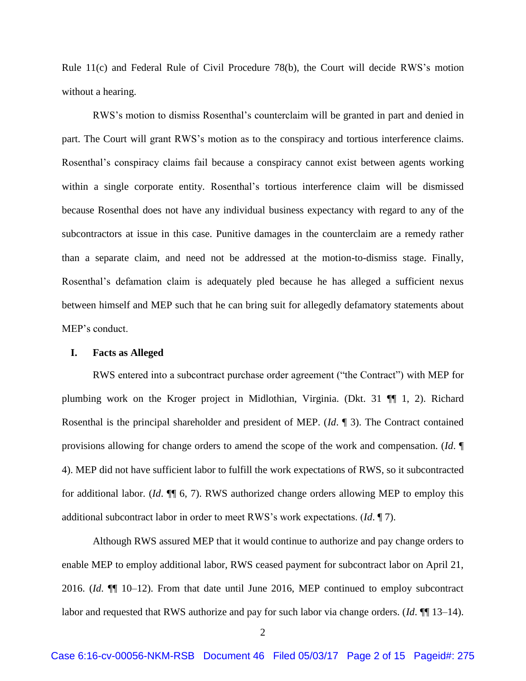Rule 11(c) and Federal Rule of Civil Procedure 78(b), the Court will decide RWS's motion without a hearing.

RWS's motion to dismiss Rosenthal's counterclaim will be granted in part and denied in part. The Court will grant RWS's motion as to the conspiracy and tortious interference claims. Rosenthal's conspiracy claims fail because a conspiracy cannot exist between agents working within a single corporate entity. Rosenthal's tortious interference claim will be dismissed because Rosenthal does not have any individual business expectancy with regard to any of the subcontractors at issue in this case. Punitive damages in the counterclaim are a remedy rather than a separate claim, and need not be addressed at the motion-to-dismiss stage. Finally, Rosenthal's defamation claim is adequately pled because he has alleged a sufficient nexus between himself and MEP such that he can bring suit for allegedly defamatory statements about MEP's conduct.

### **I. Facts as Alleged**

RWS entered into a subcontract purchase order agreement ("the Contract") with MEP for plumbing work on the Kroger project in Midlothian, Virginia. (Dkt. 31 ¶¶ 1, 2). Richard Rosenthal is the principal shareholder and president of MEP. (*Id*. ¶ 3). The Contract contained provisions allowing for change orders to amend the scope of the work and compensation. (*Id*. ¶ 4). MEP did not have sufficient labor to fulfill the work expectations of RWS, so it subcontracted for additional labor. (*Id*. ¶¶ 6, 7). RWS authorized change orders allowing MEP to employ this additional subcontract labor in order to meet RWS's work expectations. (*Id*. ¶ 7).

Although RWS assured MEP that it would continue to authorize and pay change orders to enable MEP to employ additional labor, RWS ceased payment for subcontract labor on April 21, 2016. (*Id*. ¶¶ 10–12). From that date until June 2016, MEP continued to employ subcontract labor and requested that RWS authorize and pay for such labor via change orders. (*Id*. ¶¶ 13–14).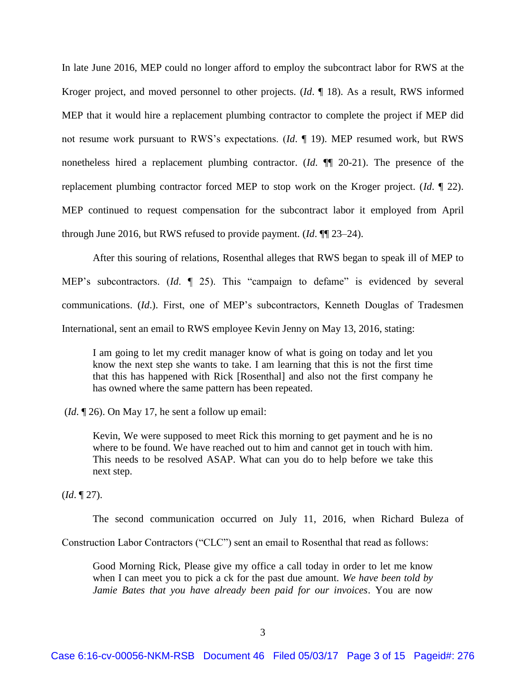In late June 2016, MEP could no longer afford to employ the subcontract labor for RWS at the Kroger project, and moved personnel to other projects. (*Id*. ¶ 18). As a result, RWS informed MEP that it would hire a replacement plumbing contractor to complete the project if MEP did not resume work pursuant to RWS's expectations. (*Id*. ¶ 19). MEP resumed work, but RWS nonetheless hired a replacement plumbing contractor. (*Id*. ¶¶ 20-21). The presence of the replacement plumbing contractor forced MEP to stop work on the Kroger project. (*Id*. ¶ 22). MEP continued to request compensation for the subcontract labor it employed from April through June 2016, but RWS refused to provide payment. (*Id*. ¶¶ 23–24).

After this souring of relations, Rosenthal alleges that RWS began to speak ill of MEP to MEP's subcontractors. (*Id*. ¶ 25). This "campaign to defame" is evidenced by several communications. (*Id*.). First, one of MEP's subcontractors, Kenneth Douglas of Tradesmen International, sent an email to RWS employee Kevin Jenny on May 13, 2016, stating:

I am going to let my credit manager know of what is going on today and let you know the next step she wants to take. I am learning that this is not the first time that this has happened with Rick [Rosenthal] and also not the first company he has owned where the same pattern has been repeated.

(*Id*. ¶ 26). On May 17, he sent a follow up email:

Kevin, We were supposed to meet Rick this morning to get payment and he is no where to be found. We have reached out to him and cannot get in touch with him. This needs to be resolved ASAP. What can you do to help before we take this next step.

(*Id*. ¶ 27).

The second communication occurred on July 11, 2016, when Richard Buleza of

Construction Labor Contractors ("CLC") sent an email to Rosenthal that read as follows:

Good Morning Rick, Please give my office a call today in order to let me know when I can meet you to pick a ck for the past due amount. *We have been told by Jamie Bates that you have already been paid for our invoices*. You are now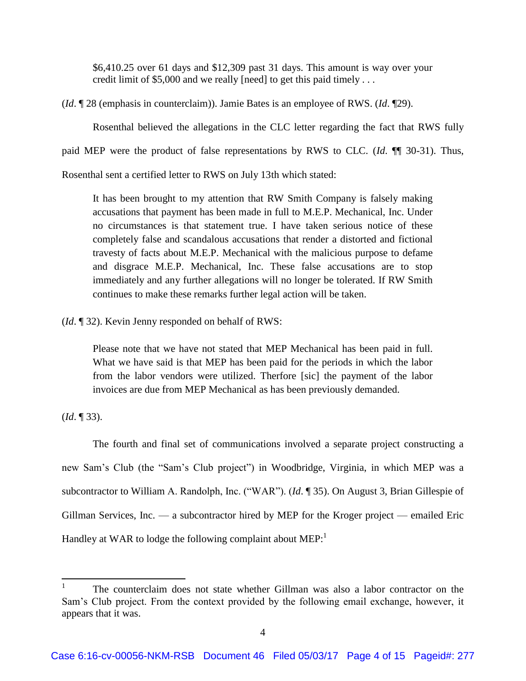\$6,410.25 over 61 days and \$12,309 past 31 days. This amount is way over your credit limit of \$5,000 and we really [need] to get this paid timely . . .

(*Id*. ¶ 28 (emphasis in counterclaim)). Jamie Bates is an employee of RWS. (*Id*. ¶29).

Rosenthal believed the allegations in the CLC letter regarding the fact that RWS fully

paid MEP were the product of false representations by RWS to CLC. (*Id*. ¶¶ 30-31). Thus,

Rosenthal sent a certified letter to RWS on July 13th which stated:

It has been brought to my attention that RW Smith Company is falsely making accusations that payment has been made in full to M.E.P. Mechanical, Inc. Under no circumstances is that statement true. I have taken serious notice of these completely false and scandalous accusations that render a distorted and fictional travesty of facts about M.E.P. Mechanical with the malicious purpose to defame and disgrace M.E.P. Mechanical, Inc. These false accusations are to stop immediately and any further allegations will no longer be tolerated. If RW Smith continues to make these remarks further legal action will be taken.

(*Id*. ¶ 32). Kevin Jenny responded on behalf of RWS:

Please note that we have not stated that MEP Mechanical has been paid in full. What we have said is that MEP has been paid for the periods in which the labor from the labor vendors were utilized. Therfore [sic] the payment of the labor invoices are due from MEP Mechanical as has been previously demanded.

(*Id*. ¶ 33).

 $\overline{\phantom{a}}$ 

The fourth and final set of communications involved a separate project constructing a new Sam's Club (the "Sam's Club project") in Woodbridge, Virginia, in which MEP was a subcontractor to William A. Randolph, Inc. ("WAR"). (*Id*. ¶ 35). On August 3, Brian Gillespie of Gillman Services, Inc. — a subcontractor hired by MEP for the Kroger project — emailed Eric Handley at WAR to lodge the following complaint about  $MEP:$ <sup>1</sup>

<sup>1</sup> The counterclaim does not state whether Gillman was also a labor contractor on the Sam's Club project. From the context provided by the following email exchange, however, it appears that it was.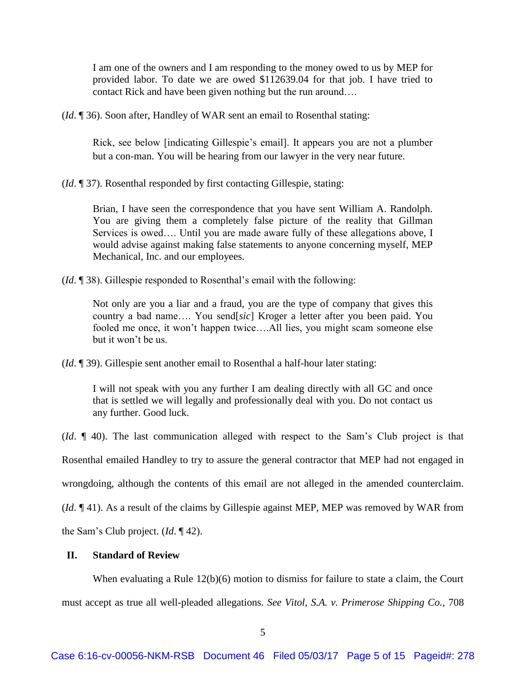I am one of the owners and I am responding to the money owed to us by MEP for provided labor. To date we are owed \$112639.04 for that job. I have tried to contact Rick and have been given nothing but the run around….

(*Id*. ¶ 36). Soon after, Handley of WAR sent an email to Rosenthal stating:

Rick, see below [indicating Gillespie's email]. It appears you are not a plumber but a con-man. You will be hearing from our lawyer in the very near future.

(*Id*. ¶ 37). Rosenthal responded by first contacting Gillespie, stating:

Brian, I have seen the correspondence that you have sent William A. Randolph. You are giving them a completely false picture of the reality that Gillman Services is owed…. Until you are made aware fully of these allegations above, I would advise against making false statements to anyone concerning myself, MEP Mechanical, Inc. and our employees.

(*Id*. ¶ 38). Gillespie responded to Rosenthal's email with the following:

Not only are you a liar and a fraud, you are the type of company that gives this country a bad name…. You send[*sic*] Kroger a letter after you been paid. You fooled me once, it won't happen twice….All lies, you might scam someone else but it won't be us.

(*Id*. ¶ 39). Gillespie sent another email to Rosenthal a half-hour later stating:

I will not speak with you any further I am dealing directly with all GC and once that is settled we will legally and professionally deal with you. Do not contact us any further. Good luck.

(*Id*. ¶ 40). The last communication alleged with respect to the Sam's Club project is that Rosenthal emailed Handley to try to assure the general contractor that MEP had not engaged in wrongdoing, although the contents of this email are not alleged in the amended counterclaim. (*Id*. ¶ 41). As a result of the claims by Gillespie against MEP, MEP was removed by WAR from

the Sam's Club project. (*Id*. ¶ 42).

# **II. Standard of Review**

When evaluating a Rule 12(b)(6) motion to dismiss for failure to state a claim, the Court must accept as true all well-pleaded allegations. *See Vitol, S.A. v. Primerose Shipping Co.*, 708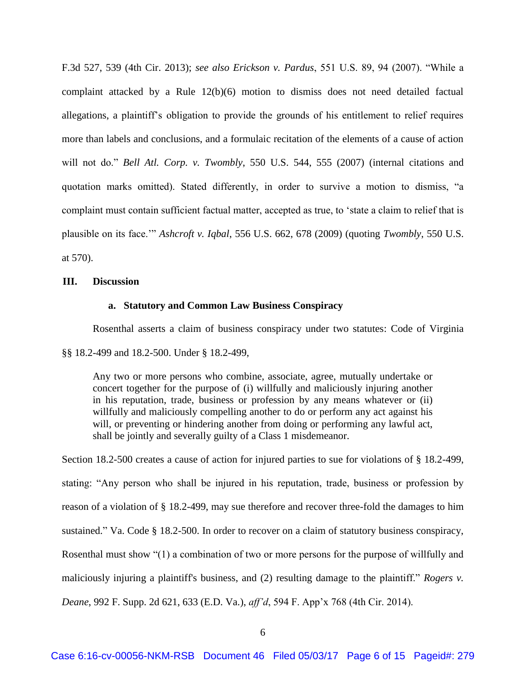F.3d 527, 539 (4th Cir. 2013); *see also Erickson v. Pardus*, 551 U.S. 89, 94 (2007). "While a complaint attacked by a Rule 12(b)(6) motion to dismiss does not need detailed factual allegations, a plaintiff's obligation to provide the grounds of his entitlement to relief requires more than labels and conclusions, and a formulaic recitation of the elements of a cause of action will not do." *Bell Atl. Corp. v. Twombly*, 550 U.S. 544, 555 (2007) (internal citations and quotation marks omitted). Stated differently, in order to survive a motion to dismiss, "a complaint must contain sufficient factual matter, accepted as true, to 'state a claim to relief that is plausible on its face.'" *Ashcroft v. Iqbal*, 556 U.S. 662, 678 (2009) (quoting *Twombly*, 550 U.S. at 570).

## **III. Discussion**

### **a. Statutory and Common Law Business Conspiracy**

Rosenthal asserts a claim of business conspiracy under two statutes: Code of Virginia

§§ 18.2-499 and 18.2-500. Under § 18.2-499,

Any two or more persons who combine, associate, agree, mutually undertake or concert together for the purpose of (i) willfully and maliciously injuring another in his reputation, trade, business or profession by any means whatever or (ii) willfully and maliciously compelling another to do or perform any act against his will, or preventing or hindering another from doing or performing any lawful act, shall be jointly and severally guilty of a Class 1 misdemeanor.

Section 18.2-500 creates a cause of action for injured parties to sue for violations of § 18.2-499, stating: "Any person who shall be injured in his reputation, trade, business or profession by reason of a violation of § 18.2-499, may sue therefore and recover three-fold the damages to him sustained." Va. Code § 18.2-500. In order to recover on a claim of statutory business conspiracy, Rosenthal must show "(1) a combination of two or more persons for the purpose of willfully and maliciously injuring a plaintiff's business, and (2) resulting damage to the plaintiff." *Rogers v. Deane*, 992 F. Supp. 2d 621, 633 (E.D. Va.), *aff'd*, 594 F. App'x 768 (4th Cir. 2014).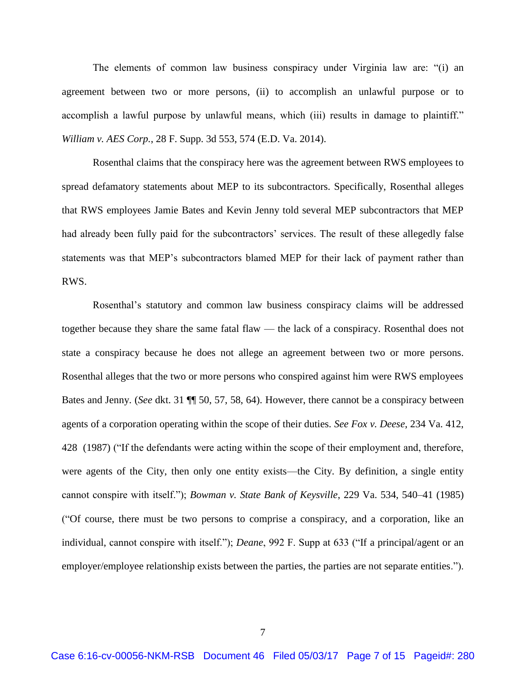The elements of common law business conspiracy under Virginia law are: "(i) an agreement between two or more persons, (ii) to accomplish an unlawful purpose or to accomplish a lawful purpose by unlawful means, which (iii) results in damage to plaintiff." *William v. AES Corp.*, 28 F. Supp. 3d 553, 574 (E.D. Va. 2014).

Rosenthal claims that the conspiracy here was the agreement between RWS employees to spread defamatory statements about MEP to its subcontractors. Specifically, Rosenthal alleges that RWS employees Jamie Bates and Kevin Jenny told several MEP subcontractors that MEP had already been fully paid for the subcontractors' services. The result of these allegedly false statements was that MEP's subcontractors blamed MEP for their lack of payment rather than RWS.

Rosenthal's statutory and common law business conspiracy claims will be addressed together because they share the same fatal flaw — the lack of a conspiracy. Rosenthal does not state a conspiracy because he does not allege an agreement between two or more persons. Rosenthal alleges that the two or more persons who conspired against him were RWS employees Bates and Jenny. (*See* dkt. 31 ¶¶ 50, 57, 58, 64). However, there cannot be a conspiracy between agents of a corporation operating within the scope of their duties. *See Fox v. Deese*, 234 Va. 412, 428 (1987) ("If the defendants were acting within the scope of their employment and, therefore, were agents of the City, then only one entity exists—the City. By definition, a single entity cannot conspire with itself."); *Bowman v. State Bank of Keysville*, 229 Va. 534, 540–41 (1985) ("Of course, there must be two persons to comprise a conspiracy, and a corporation, like an individual, cannot conspire with itself."); *Deane*, 992 F. Supp at 633 ("If a principal/agent or an employer/employee relationship exists between the parties, the parties are not separate entities.").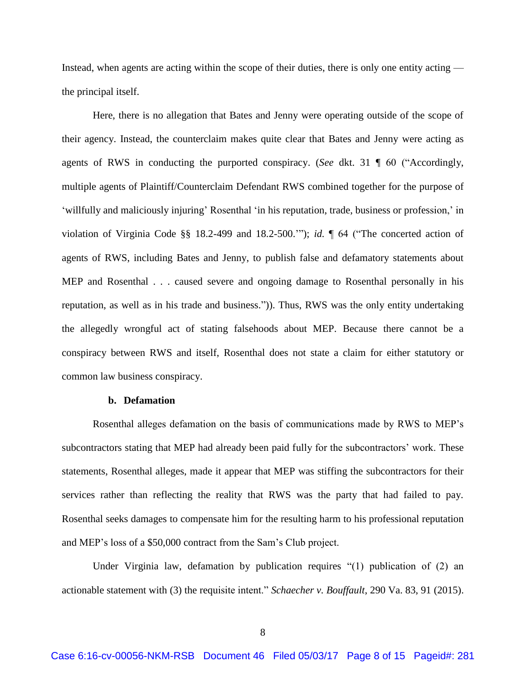Instead, when agents are acting within the scope of their duties, there is only one entity acting the principal itself.

Here, there is no allegation that Bates and Jenny were operating outside of the scope of their agency. Instead, the counterclaim makes quite clear that Bates and Jenny were acting as agents of RWS in conducting the purported conspiracy. (*See* dkt. 31 ¶ 60 ("Accordingly, multiple agents of Plaintiff/Counterclaim Defendant RWS combined together for the purpose of 'willfully and maliciously injuring' Rosenthal 'in his reputation, trade, business or profession,' in violation of Virginia Code §§ 18.2-499 and 18.2-500.'"); *id.* ¶ 64 ("The concerted action of agents of RWS, including Bates and Jenny, to publish false and defamatory statements about MEP and Rosenthal . . . caused severe and ongoing damage to Rosenthal personally in his reputation, as well as in his trade and business.")). Thus, RWS was the only entity undertaking the allegedly wrongful act of stating falsehoods about MEP. Because there cannot be a conspiracy between RWS and itself, Rosenthal does not state a claim for either statutory or common law business conspiracy.

# **b. Defamation**

Rosenthal alleges defamation on the basis of communications made by RWS to MEP's subcontractors stating that MEP had already been paid fully for the subcontractors' work. These statements, Rosenthal alleges, made it appear that MEP was stiffing the subcontractors for their services rather than reflecting the reality that RWS was the party that had failed to pay. Rosenthal seeks damages to compensate him for the resulting harm to his professional reputation and MEP's loss of a \$50,000 contract from the Sam's Club project.

Under Virginia law, defamation by publication requires "(1) publication of (2) an actionable statement with (3) the requisite intent." *Schaecher v. Bouffault*, 290 Va. 83, 91 (2015).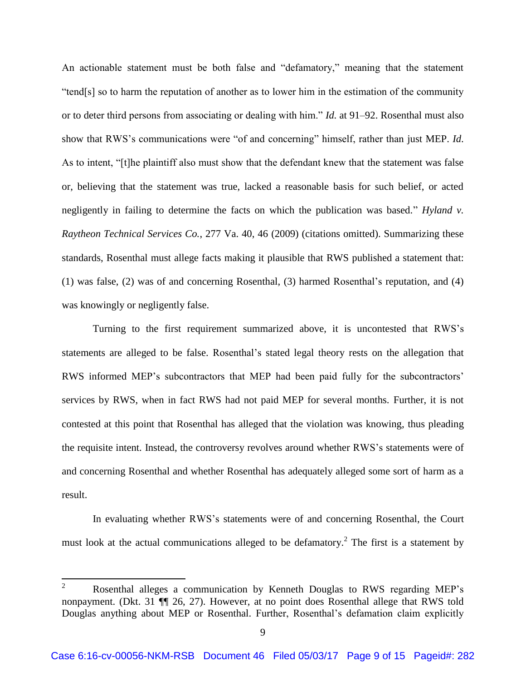An actionable statement must be both false and "defamatory," meaning that the statement "tend[s] so to harm the reputation of another as to lower him in the estimation of the community or to deter third persons from associating or dealing with him." *Id.* at 91–92. Rosenthal must also show that RWS's communications were "of and concerning" himself, rather than just MEP. *Id*. As to intent, "[t]he plaintiff also must show that the defendant knew that the statement was false or, believing that the statement was true, lacked a reasonable basis for such belief, or acted negligently in failing to determine the facts on which the publication was based." *Hyland v. Raytheon Technical Services Co.*, 277 Va. 40, 46 (2009) (citations omitted). Summarizing these standards, Rosenthal must allege facts making it plausible that RWS published a statement that: (1) was false, (2) was of and concerning Rosenthal, (3) harmed Rosenthal's reputation, and (4) was knowingly or negligently false.

Turning to the first requirement summarized above, it is uncontested that RWS's statements are alleged to be false. Rosenthal's stated legal theory rests on the allegation that RWS informed MEP's subcontractors that MEP had been paid fully for the subcontractors' services by RWS, when in fact RWS had not paid MEP for several months. Further, it is not contested at this point that Rosenthal has alleged that the violation was knowing, thus pleading the requisite intent. Instead, the controversy revolves around whether RWS's statements were of and concerning Rosenthal and whether Rosenthal has adequately alleged some sort of harm as a result.

In evaluating whether RWS's statements were of and concerning Rosenthal, the Court must look at the actual communications alleged to be defamatory.<sup>2</sup> The first is a statement by

 $\overline{2}$ <sup>2</sup> Rosenthal alleges a communication by Kenneth Douglas to RWS regarding MEP's nonpayment. (Dkt. 31 ¶¶ 26, 27). However, at no point does Rosenthal allege that RWS told Douglas anything about MEP or Rosenthal. Further, Rosenthal's defamation claim explicitly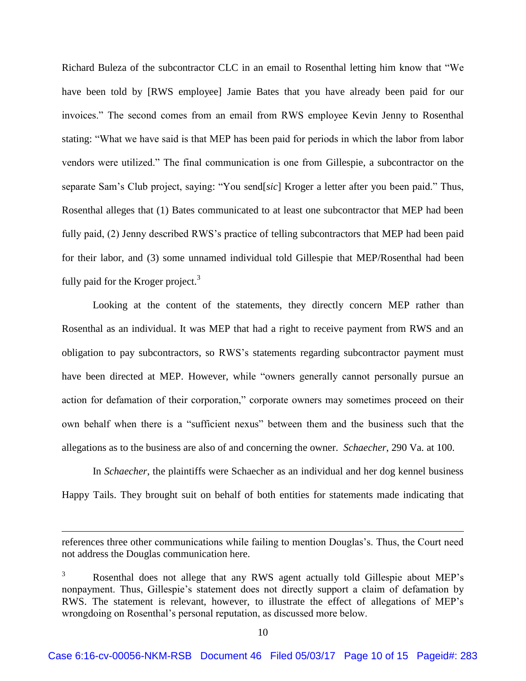Richard Buleza of the subcontractor CLC in an email to Rosenthal letting him know that "We have been told by [RWS employee] Jamie Bates that you have already been paid for our invoices." The second comes from an email from RWS employee Kevin Jenny to Rosenthal stating: "What we have said is that MEP has been paid for periods in which the labor from labor vendors were utilized." The final communication is one from Gillespie, a subcontractor on the separate Sam's Club project, saying: "You send[*sic*] Kroger a letter after you been paid." Thus, Rosenthal alleges that (1) Bates communicated to at least one subcontractor that MEP had been fully paid, (2) Jenny described RWS's practice of telling subcontractors that MEP had been paid for their labor, and (3) some unnamed individual told Gillespie that MEP/Rosenthal had been fully paid for the Kroger project.<sup>3</sup>

Looking at the content of the statements, they directly concern MEP rather than Rosenthal as an individual. It was MEP that had a right to receive payment from RWS and an obligation to pay subcontractors, so RWS's statements regarding subcontractor payment must have been directed at MEP. However, while "owners generally cannot personally pursue an action for defamation of their corporation," corporate owners may sometimes proceed on their own behalf when there is a "sufficient nexus" between them and the business such that the allegations as to the business are also of and concerning the owner. *Schaecher*, 290 Va. at 100.

In *Schaecher*, the plaintiffs were Schaecher as an individual and her dog kennel business Happy Tails. They brought suit on behalf of both entities for statements made indicating that

 $\overline{\phantom{a}}$ 

references three other communications while failing to mention Douglas's. Thus, the Court need not address the Douglas communication here.

Rosenthal does not allege that any RWS agent actually told Gillespie about MEP's nonpayment. Thus, Gillespie's statement does not directly support a claim of defamation by RWS. The statement is relevant, however, to illustrate the effect of allegations of MEP's wrongdoing on Rosenthal's personal reputation, as discussed more below.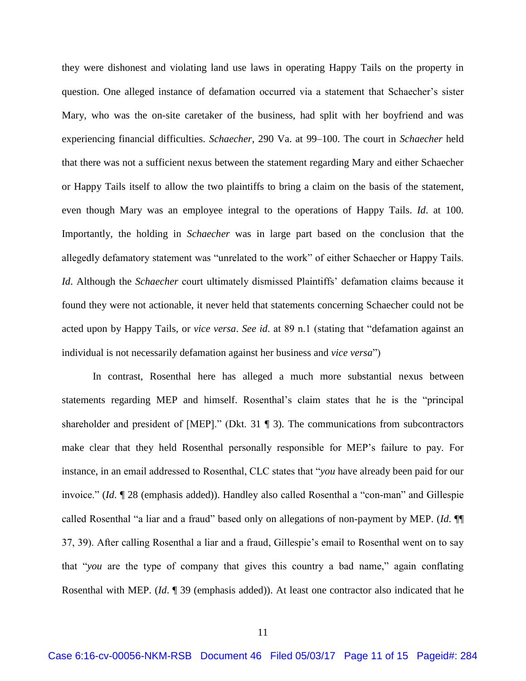they were dishonest and violating land use laws in operating Happy Tails on the property in question. One alleged instance of defamation occurred via a statement that Schaecher's sister Mary, who was the on-site caretaker of the business, had split with her boyfriend and was experiencing financial difficulties. *Schaecher*, 290 Va. at 99–100. The court in *Schaecher* held that there was not a sufficient nexus between the statement regarding Mary and either Schaecher or Happy Tails itself to allow the two plaintiffs to bring a claim on the basis of the statement, even though Mary was an employee integral to the operations of Happy Tails. *Id*. at 100. Importantly, the holding in *Schaecher* was in large part based on the conclusion that the allegedly defamatory statement was "unrelated to the work" of either Schaecher or Happy Tails. *Id*. Although the *Schaecher* court ultimately dismissed Plaintiffs' defamation claims because it found they were not actionable, it never held that statements concerning Schaecher could not be acted upon by Happy Tails, or *vice versa*. *See id*. at 89 n.1 (stating that "defamation against an individual is not necessarily defamation against her business and *vice versa*")

In contrast, Rosenthal here has alleged a much more substantial nexus between statements regarding MEP and himself. Rosenthal's claim states that he is the "principal shareholder and president of [MEP]." (Dkt. 31 ¶ 3). The communications from subcontractors make clear that they held Rosenthal personally responsible for MEP's failure to pay. For instance, in an email addressed to Rosenthal, CLC states that "*you* have already been paid for our invoice." (*Id*. ¶ 28 (emphasis added)). Handley also called Rosenthal a "con-man" and Gillespie called Rosenthal "a liar and a fraud" based only on allegations of non-payment by MEP. (*Id*. ¶¶ 37, 39). After calling Rosenthal a liar and a fraud, Gillespie's email to Rosenthal went on to say that "*you* are the type of company that gives this country a bad name," again conflating Rosenthal with MEP. (*Id*. ¶ 39 (emphasis added)). At least one contractor also indicated that he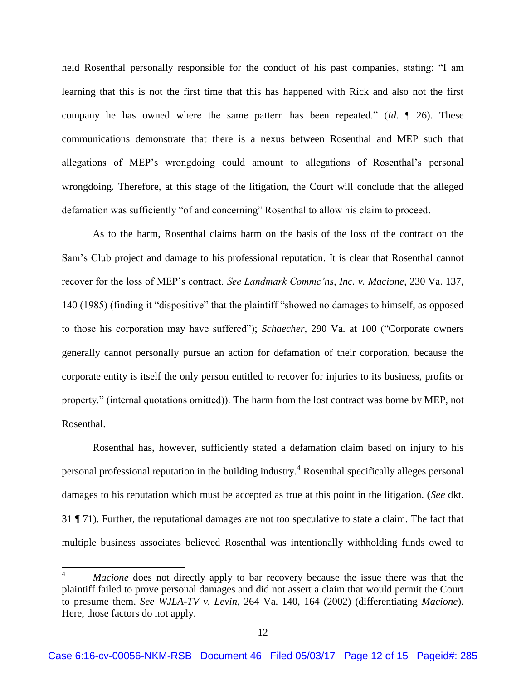held Rosenthal personally responsible for the conduct of his past companies, stating: "I am learning that this is not the first time that this has happened with Rick and also not the first company he has owned where the same pattern has been repeated." (*Id*. ¶ 26). These communications demonstrate that there is a nexus between Rosenthal and MEP such that allegations of MEP's wrongdoing could amount to allegations of Rosenthal's personal wrongdoing. Therefore, at this stage of the litigation, the Court will conclude that the alleged defamation was sufficiently "of and concerning" Rosenthal to allow his claim to proceed.

As to the harm, Rosenthal claims harm on the basis of the loss of the contract on the Sam's Club project and damage to his professional reputation. It is clear that Rosenthal cannot recover for the loss of MEP's contract. *See Landmark Commc'ns, Inc. v. Macione*, 230 Va. 137, 140 (1985) (finding it "dispositive" that the plaintiff "showed no damages to himself, as opposed to those his corporation may have suffered"); *Schaecher*, 290 Va. at 100 ("Corporate owners generally cannot personally pursue an action for defamation of their corporation, because the corporate entity is itself the only person entitled to recover for injuries to its business, profits or property." (internal quotations omitted)). The harm from the lost contract was borne by MEP, not Rosenthal.

Rosenthal has, however, sufficiently stated a defamation claim based on injury to his personal professional reputation in the building industry.<sup>4</sup> Rosenthal specifically alleges personal damages to his reputation which must be accepted as true at this point in the litigation. (*See* dkt. 31 ¶ 71). Further, the reputational damages are not too speculative to state a claim. The fact that multiple business associates believed Rosenthal was intentionally withholding funds owed to

 $\overline{a}$ 

*Macione* does not directly apply to bar recovery because the issue there was that the plaintiff failed to prove personal damages and did not assert a claim that would permit the Court to presume them. *See WJLA-TV v. Levin*, 264 Va. 140, 164 (2002) (differentiating *Macione*). Here, those factors do not apply.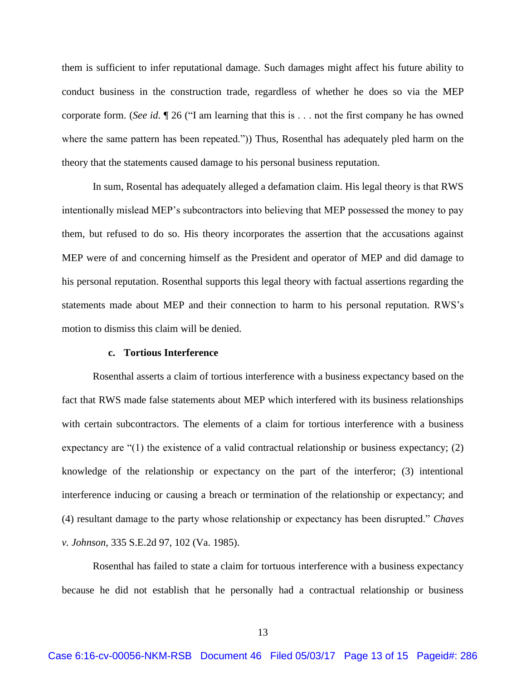them is sufficient to infer reputational damage. Such damages might affect his future ability to conduct business in the construction trade, regardless of whether he does so via the MEP corporate form. (*See id*. ¶ 26 ("I am learning that this is . . . not the first company he has owned where the same pattern has been repeated.")) Thus, Rosenthal has adequately pled harm on the theory that the statements caused damage to his personal business reputation.

In sum, Rosental has adequately alleged a defamation claim. His legal theory is that RWS intentionally mislead MEP's subcontractors into believing that MEP possessed the money to pay them, but refused to do so. His theory incorporates the assertion that the accusations against MEP were of and concerning himself as the President and operator of MEP and did damage to his personal reputation. Rosenthal supports this legal theory with factual assertions regarding the statements made about MEP and their connection to harm to his personal reputation. RWS's motion to dismiss this claim will be denied.

#### **c. Tortious Interference**

Rosenthal asserts a claim of tortious interference with a business expectancy based on the fact that RWS made false statements about MEP which interfered with its business relationships with certain subcontractors. The elements of a claim for tortious interference with a business expectancy are  $(1)$  the existence of a valid contractual relationship or business expectancy; (2) knowledge of the relationship or expectancy on the part of the interferor; (3) intentional interference inducing or causing a breach or termination of the relationship or expectancy; and (4) resultant damage to the party whose relationship or expectancy has been disrupted." *Chaves v. Johnson*, 335 S.E.2d 97, 102 (Va. 1985).

Rosenthal has failed to state a claim for tortuous interference with a business expectancy because he did not establish that he personally had a contractual relationship or business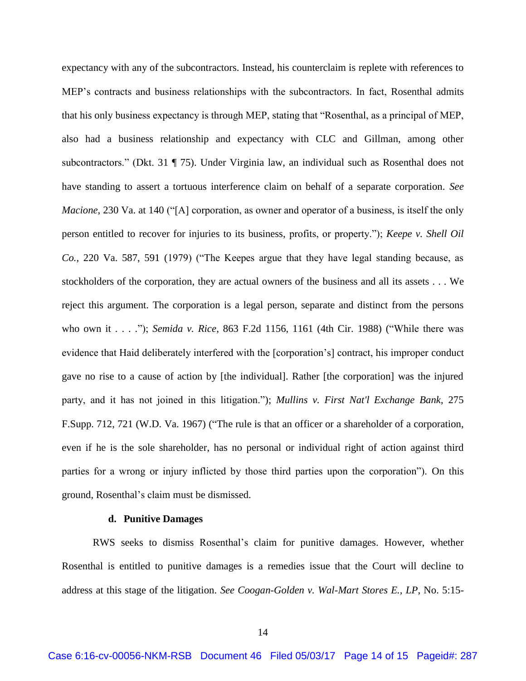expectancy with any of the subcontractors. Instead, his counterclaim is replete with references to MEP's contracts and business relationships with the subcontractors. In fact, Rosenthal admits that his only business expectancy is through MEP, stating that "Rosenthal, as a principal of MEP, also had a business relationship and expectancy with CLC and Gillman, among other subcontractors." (Dkt. 31 ¶ 75). Under Virginia law, an individual such as Rosenthal does not have standing to assert a tortuous interference claim on behalf of a separate corporation. *See Macione*, 230 Va. at 140 ("[A] corporation, as owner and operator of a business, is itself the only person entitled to recover for injuries to its business, profits, or property."); *Keepe v. Shell Oil Co.*, 220 Va. 587, 591 (1979) ("The Keepes argue that they have legal standing because, as stockholders of the corporation, they are actual owners of the business and all its assets . . . We reject this argument. The corporation is a legal person, separate and distinct from the persons who own it . . . ."); *Semida v. Rice*, 863 F.2d 1156, 1161 (4th Cir. 1988) ("While there was evidence that Haid deliberately interfered with the [corporation's] contract, his improper conduct gave no rise to a cause of action by [the individual]. Rather [the corporation] was the injured party, and it has not joined in this litigation."); *Mullins v. First Nat'l Exchange Bank*, 275 F.Supp. 712, 721 (W.D. Va. 1967) ("The rule is that an officer or a shareholder of a corporation, even if he is the sole shareholder, has no personal or individual right of action against third parties for a wrong or injury inflicted by those third parties upon the corporation"). On this ground, Rosenthal's claim must be dismissed.

#### **d. Punitive Damages**

RWS seeks to dismiss Rosenthal's claim for punitive damages. However, whether Rosenthal is entitled to punitive damages is a remedies issue that the Court will decline to address at this stage of the litigation. *See Coogan-Golden v. Wal-Mart Stores E., LP*, No. 5:15